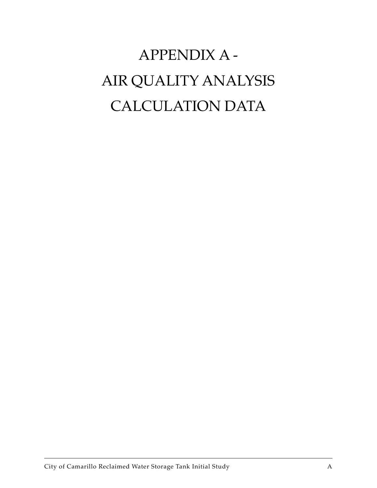# APPENDIX A - AIR QUALITY ANALYSIS CALCULATION DATA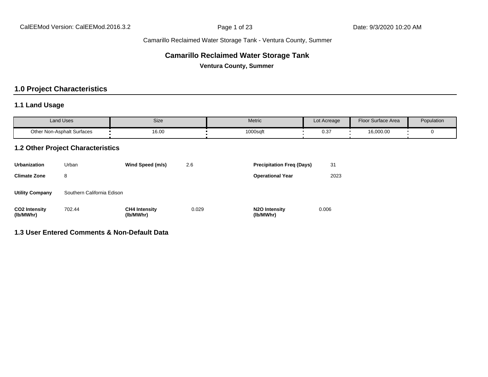#### **Camarillo Reclaimed Water Storage Tank**

**Ventura County, Summer**

#### **1.0 Project Characteristics**

#### **1.1 Land Usage**

| <b>Land Uses</b>           | Size  | Metric   | Lot Acreage | Floor Surface Area | Population |
|----------------------------|-------|----------|-------------|--------------------|------------|
| Other Non-Asphalt Surfaces | 16.00 | 1000sqft | ר מח<br>ບ.ບ | 16,000.00          |            |

#### **1.2 Other Project Characteristics**

| <b>Urbanization</b>               | Urban                      | Wind Speed (m/s)                  | 2.6   | <b>Precipitation Freg (Days)</b>        | 31    |
|-----------------------------------|----------------------------|-----------------------------------|-------|-----------------------------------------|-------|
| <b>Climate Zone</b>               | 8                          |                                   |       | <b>Operational Year</b>                 | 2023  |
| <b>Utility Company</b>            | Southern California Edison |                                   |       |                                         |       |
| <b>CO2 Intensity</b><br>(lb/MWhr) | 702.44                     | <b>CH4 Intensity</b><br>(lb/MWhr) | 0.029 | N <sub>2</sub> O Intensity<br>(lb/MWhr) | 0.006 |

#### **1.3 User Entered Comments & Non-Default Data**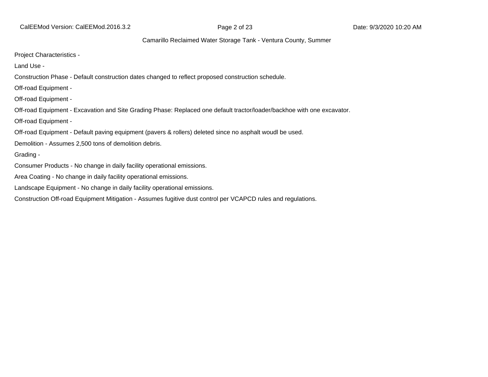CalEEMod Version: CalEEMod.2016.3.2 **Page 2 of 23** Page 2 of 23 Date: 9/3/2020 10:20 AM

#### Camarillo Reclaimed Water Storage Tank - Ventura County, Summer

Project Characteristics -

Land Use -

Construction Phase - Default construction dates changed to reflect proposed construction schedule.

Off-road Equipment -

Off-road Equipment -

Off-road Equipment - Excavation and Site Grading Phase: Replaced one default tractor/loader/backhoe with one excavator.

Off-road Equipment -

Off-road Equipment - Default paving equipment (pavers & rollers) deleted since no asphalt woudl be used.

Demolition - Assumes 2,500 tons of demolition debris.

Grading -

Consumer Products - No change in daily facility operational emissions.

Area Coating - No change in daily facility operational emissions.

Landscape Equipment - No change in daily facility operational emissions.

Construction Off-road Equipment Mitigation - Assumes fugitive dust control per VCAPCD rules and regulations.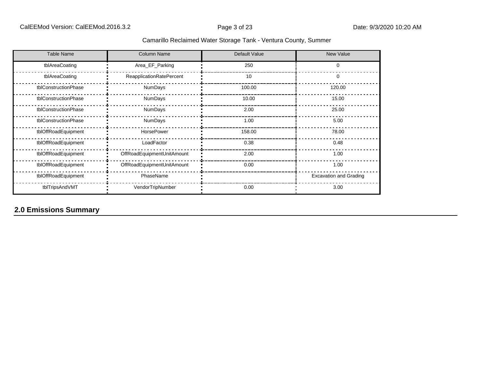| <b>Table Name</b>    | Column Name                | Default Value | New Value                     |
|----------------------|----------------------------|---------------|-------------------------------|
| tblAreaCoating       | Area_EF_Parking            | 250           | 0                             |
| tblAreaCoating       | ReapplicationRatePercent   | 10            | 0                             |
| tblConstructionPhase | NumDays                    | 100.00        | 120.00                        |
| tblConstructionPhase | NumDays                    | 10.00         | 15.00                         |
| tblConstructionPhase | NumDays                    | 2.00          | 25.00                         |
| tblConstructionPhase | NumDays                    | 1.00          | 5.00                          |
| tblOffRoadEquipment  | HorsePower                 | 158.00        | 78.00                         |
| tblOffRoadEquipment  | LoadFactor                 | 0.38          | 0.48                          |
| tblOffRoadEquipment  | OffRoadEquipmentUnitAmount | 2.00          | 1.00                          |
| tblOffRoadEquipment  | OffRoadEquipmentUnitAmount | 0.00          | 1.00                          |
| tblOffRoadEquipment  | PhaseName                  |               | <b>Excavation and Grading</b> |
| tblTripsAndVMT       | VendorTripNumber           | 0.00          | 3.00                          |

# **2.0 Emissions Summary**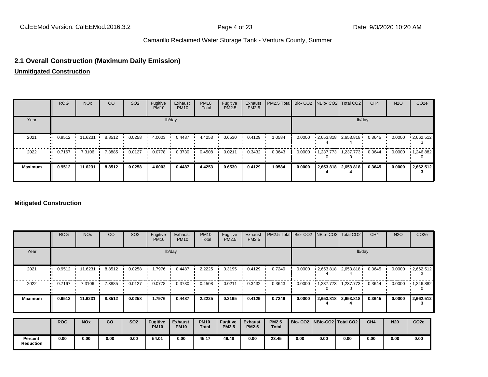#### **2.1 Overall Construction (Maximum Daily Emission)**

**Unmitigated Construction**

|                | <b>ROG</b>    | NO <sub>x</sub> | CO     | SO <sub>2</sub> | Fugitive<br><b>PM10</b> | Exhaust<br><b>PM10</b> | <b>PM10</b><br>Total | Fugitive<br>PM2.5 | Exhaust<br>PM2.5 | <b>PM2.5 Total</b> Bio- CO2 NBio- CO2   Total CO2 |        |                          | CH <sub>4</sub> | <b>N2O</b> | CO <sub>2e</sub>  |
|----------------|---------------|-----------------|--------|-----------------|-------------------------|------------------------|----------------------|-------------------|------------------|---------------------------------------------------|--------|--------------------------|-----------------|------------|-------------------|
| Year           |               |                 |        |                 |                         | lb/day                 |                      |                   |                  |                                                   |        |                          | lb/day          |            |                   |
| 2021           | 0.9512<br>. . | 11.6231         | 8.8512 | 0.0258          | 4.0003                  | 0.4487                 | 4.4253               | 0.6530            | 0.4129           | 1.0584                                            | 0.0000 | $-2,653.818 - 2,653.818$ | 0.3645          | 0.0000     | $\cdot$ 2,662.512 |
| 2022           | 0.7167<br>    | 7.3106 '        | 7.3885 | 0.0127          | 0.0778                  | 0.3730                 | 0.4508               | 0.0211            | 0.3432           | 0.3643                                            | 0.0000 | - 1,237.773 - 1,237.773  | 0.3644          | 0.0000     | $\cdot$ 1,246.882 |
| <b>Maximum</b> | 0.9512        | 11.6231         | 8.8512 | 0.0258          | 4.0003                  | 0.4487                 | 4.4253               | 0.6530            | 0.4129           | 1.0584                                            | 0.0000 | 2,653.818 2,653.818      | 0.3645          | 0.0000     | 2,662.512         |

#### **Mitigated Construction**

|                             | <b>ROG</b> | <b>NO<sub>x</sub></b> | CO     | SO <sub>2</sub> | Fugitive<br><b>PM10</b> | Exhaust<br><b>PM10</b> | <b>PM10</b><br>Total | Fugitive<br>PM2.5 | Exhaust<br><b>PM2.5</b> | PM2.5 Total  |        |                                 | Bio- CO2   NBio- CO2   Total CO2            | CH <sub>4</sub> | <b>N2O</b> | CO <sub>2e</sub> |
|-----------------------------|------------|-----------------------|--------|-----------------|-------------------------|------------------------|----------------------|-------------------|-------------------------|--------------|--------|---------------------------------|---------------------------------------------|-----------------|------------|------------------|
| Year                        |            |                       |        |                 |                         | lb/day                 |                      |                   |                         |              |        |                                 |                                             | lb/day          |            |                  |
| 2021                        | 0.9512     | 11.6231               | 8.8512 | 0.0258          | 1.7976                  | 0.4487                 | 2.2225               | 0.3195            | 0.4129                  | 0.7249       | 0.0000 |                                 | $\cdot$ 2,653.818 $\cdot$ 2,653.818 $\cdot$ | 0.3645          | 0.0000     | .2662.512        |
| 2022                        | 0.7167     | 7.3106                | 7.3885 | 0.0127          | 0.0778                  | 0.3730                 | 0.4508               | 0.0211            | 0.3432                  | 0.3643       | 0.0000 |                                 | $1,237.773$ $1,237.773$                     | 0.3644          | 0.0000     | 1,246.882        |
| <b>Maximum</b>              | 0.9512     | 11.6231               | 8.8512 | 0.0258          | 1.7976                  | 0.4487                 | 2.2225               | 0.3195            | 0.4129                  | 0.7249       | 0.0000 |                                 | 2,653.818 2,653.818                         | 0.3645          | 0.0000     | 2,662.512<br>3   |
|                             | <b>ROG</b> | <b>NO<sub>x</sub></b> | co     | <b>SO2</b>      | <b>Fugitive</b>         | <b>Exhaust</b>         | <b>PM10</b>          | Fugitive          | <b>Exhaust</b>          | <b>PM2.5</b> |        | Bio- CO2   NBio-CO2   Total CO2 |                                             | CH <sub>4</sub> | <b>N20</b> | CO <sub>2e</sub> |
|                             |            |                       |        |                 | <b>PM10</b>             | <b>PM10</b>            | <b>Total</b>         | <b>PM2.5</b>      | <b>PM2.5</b>            | <b>Total</b> |        |                                 |                                             |                 |            |                  |
| Percent<br><b>Reduction</b> | 0.00       | 0.00                  | 0.00   | 0.00            | 54.01                   | 0.00                   | 45.17                | 49.48             | 0.00                    | 23.45        | 0.00   | 0.00                            | 0.00                                        | 0.00            | 0.00       | 0.00             |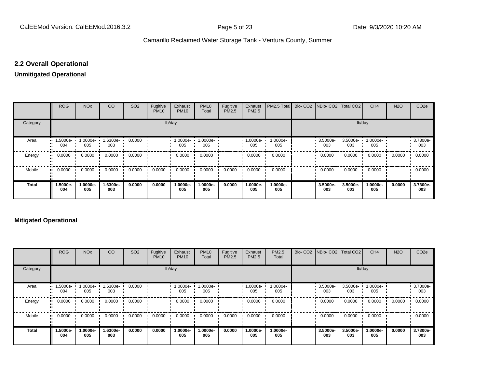#### **2.2 Overall Operational**

#### **Unmitigated Operational**

|              | <b>ROG</b>             | <b>NO<sub>x</sub></b> | <b>CO</b>          | SO <sub>2</sub> | Fugitive<br><b>PM10</b> | Exhaust<br><b>PM10</b> | <b>PM10</b><br>Total | Fugitive<br>PM2.5 | Exhaust<br>PM2.5 | PM2.5 Total     |                 | Bio- CO2   NBio- CO2   Total CO2 | CH <sub>4</sub> | <b>N2O</b> | CO <sub>2e</sub> |
|--------------|------------------------|-----------------------|--------------------|-----------------|-------------------------|------------------------|----------------------|-------------------|------------------|-----------------|-----------------|----------------------------------|-----------------|------------|------------------|
| Category     |                        |                       |                    |                 | lb/day                  |                        |                      |                   |                  |                 |                 | lb/day                           |                 |            |                  |
| Area         | 1.5000e-<br><br>004    | 1.0000e-<br>005       | $1.6300e -$<br>003 | 0.0000          |                         | 1.0000e-<br>005        | 1.0000e-<br>005      |                   | 1.0000e-<br>005  | 1.0000e-<br>005 | 3.5000e-<br>003 | 3.5000e-<br>003                  | 1.0000e-<br>005 |            | 3.7300e-<br>003  |
| Energy       | 0.0000<br>             | 0.0000                | 0.0000             | 0.0000          |                         | 0.0000                 | 0.0000               |                   | 0.0000           | 0.0000          | 0.0000          | 0.0000                           | 0.0000          | 0.0000     | 0.0000           |
| Mobile       | 0.0000<br>$\mathbf{u}$ | 0.0000                | 0.0000             | 0.0000          | 0.0000                  | 0.0000                 | 0.0000               | 0.0000            | 0.0000           | 0.0000          | 0.0000          | 0.0000                           | 0.0000          |            | 0.0000           |
| <b>Total</b> | 1.5000e-<br>004        | 1.0000e-<br>005       | 1.6300e-<br>003    | 0.0000          | 0.0000                  | 1.0000e-<br>005        | 1.0000e-<br>005      | 0.0000            | 1.0000e-<br>005  | 1.0000e-<br>005 | 3.5000e-<br>003 | 3.5000e-<br>003                  | 1.0000e-<br>005 | 0.0000     | 3.7300e-<br>003  |

#### **Mitigated Operational**

|              | <b>ROG</b>                     | <b>NO<sub>x</sub></b> | CO                | SO <sub>2</sub> | Fugitive<br><b>PM10</b> | Exhaust<br><b>PM10</b> | <b>PM10</b><br>Total | Fugitive<br>PM2.5 | Exhaust<br>PM2.5 | PM2.5<br>Total  | Bio- CO2 NBio- CO2 Total CO2 |                   | CH <sub>4</sub> | <b>N2O</b> | CO <sub>2e</sub>   |
|--------------|--------------------------------|-----------------------|-------------------|-----------------|-------------------------|------------------------|----------------------|-------------------|------------------|-----------------|------------------------------|-------------------|-----------------|------------|--------------------|
| Category     |                                |                       |                   |                 |                         | lb/day                 |                      |                   |                  |                 |                              | lb/day            |                 |            |                    |
| Area         | $\blacksquare$ 1.5000e-<br>004 | 1.0000e-<br>005       | $1.6300e-$<br>003 | 0.0000          |                         | 1.0000e-<br>005        | 1.0000e-<br>005      |                   | 1.0000e-<br>005  | 1.0000e-<br>005 | 3.5000e-<br>003              | $3.5000e-$<br>003 | 1.0000e-<br>005 |            | $-3.7300e-$<br>003 |
| Energy       | 0.0000<br>                     | 0.0000                | 0.0000            | 0.0000          |                         | 0.0000                 | 0.0000               |                   | 0.0000           | 0.0000          | 0.0000                       | 0.0000            | 0.0000          | 0.0000     | 0.0000             |
| Mobile       | 0.0000                         | 0.0000                | 0.0000            | 0.0000          | 0.0000                  | 0.0000                 | 0.0000               | 0.0000            | 0.0000           | 0.0000          | 0.0000                       | 0.0000            | 0.0000          |            | 0.0000             |
| <b>Total</b> | 1.5000e-<br>004                | 1.0000e-<br>005       | 1.6300e-<br>003   | 0.0000          | 0.0000                  | 1.0000e-<br>005        | 1.0000e-<br>005      | 0.0000            | 1.0000e-<br>005  | 1.0000e-<br>005 | 3.5000e-<br>003              | 3.5000e-<br>003   | 1.0000e-<br>005 | 0.0000     | 3.7300e-<br>003    |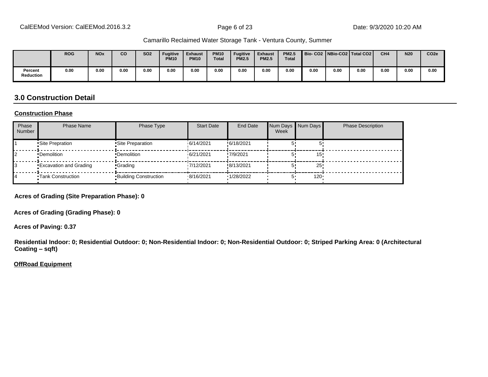|                             | <b>ROG</b> | <b>NO<sub>x</sub></b> | CO   | <b>SO2</b> | <b>Fugitive</b><br><b>PM10</b> | Exhaust<br><b>PM10</b> | <b>PM10</b><br><b>Total</b> | <b>Fugitive</b><br><b>PM2.5</b> | <b>Exhaust</b><br><b>PM2.5</b> | <b>PM2.5</b><br>Total | Bio-CO2 NBio-CO2 Total CO2 |      |      | CH <sub>4</sub> | <b>N20</b> | CO <sub>2e</sub> |
|-----------------------------|------------|-----------------------|------|------------|--------------------------------|------------------------|-----------------------------|---------------------------------|--------------------------------|-----------------------|----------------------------|------|------|-----------------|------------|------------------|
| Percent<br><b>Reduction</b> | 0.00       | 0.00                  | 0.00 | 0.00       | 0.00                           | 0.00                   | 0.00                        | 0.00                            | 0.00                           | 0.00                  | 0.00                       | 0.00 | 0.00 | 0.00            | 0.00       | 0.00             |

#### **3.0 Construction Detail**

#### **Construction Phase**

| Phase<br><b>Number</b> | <b>Phase Name</b>             | Phase Type                   | <b>Start Date</b> | <b>End Date</b> | Num Days Num Days<br>Week |     | <b>Phase Description</b> |
|------------------------|-------------------------------|------------------------------|-------------------|-----------------|---------------------------|-----|--------------------------|
|                        | •Site Prepration              | •Site Preparation            | 16/14/2021        | !6/18/2021      |                           |     |                          |
|                        | •Demolition                   | •Demolition                  | 6/21/2021         | !7/9/2021       |                           | 15  |                          |
|                        | <b>Excavation and Grading</b> | •Grading                     | 17/12/2021        | !8/13/2021      |                           | 25  |                          |
|                        | <b>Tank Construction</b>      | <b>Building Construction</b> | 8/16/2021         | '1/28/2022      |                           | 120 |                          |

**Acres of Grading (Site Preparation Phase): 0**

**Acres of Grading (Grading Phase): 0**

**Acres of Paving: 0.37**

**Residential Indoor: 0; Residential Outdoor: 0; Non-Residential Indoor: 0; Non-Residential Outdoor: 0; Striped Parking Area: 0 (Architectural Coating ±sqft)**

#### **OffRoad Equipment**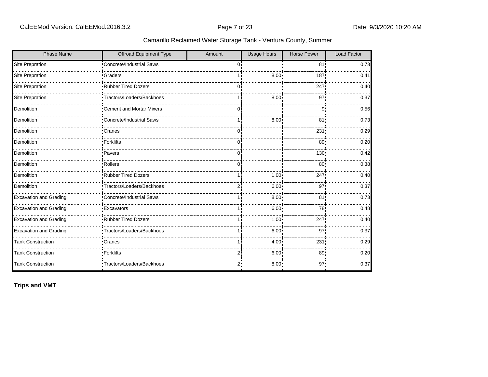| <b>Phase Name</b>             | Offroad Equipment Type           | Amount | <b>Usage Hours</b> | <b>Horse Power</b> | <b>Load Factor</b> |
|-------------------------------|----------------------------------|--------|--------------------|--------------------|--------------------|
| <b>Site Prepration</b>        | Concrete/Industrial Saws         | 0      |                    | 81!                | 0.73               |
| Site Prepration               | •Graders                         |        | 8.00               | 187                | 0.41               |
| Site Prepration               | <b>Rubber Tired Dozers</b>       | 0      |                    | 247                | 0.40               |
| <b>Site Prepration</b>        | •Tractors/Loaders/Backhoes       |        | 8.00               | 97!                | 0.37               |
| Demolition                    | •Cement and Mortar Mixers        | 0 i    |                    | 9                  | 0.56               |
| Demolition                    | <b>*Concrete/Industrial Saws</b> |        | 8.00               | 81                 | 0.73               |
| Demolition                    | <b>Cranes</b>                    | 0      |                    | 231                | 0.29               |
| Demolition                    | -Forklifts                       | 0:     |                    | 89!                | 0.20               |
| Demolition                    | •Pavers                          | Οi     |                    | 130!               | 0.42               |
| Demolition                    | ·Rollers                         | 0      |                    | 80                 | 0.38               |
| Demolition                    | Rubber Tired Dozers              |        | 1.00               | 247                | 0.40               |
| Demolition                    | •Tractors/Loaders/Backhoes       | 2i     | 6.00 <sup>1</sup>  | 97'                | 0.37               |
| <b>Excavation and Grading</b> | Concrete/Industrial Saws         |        | 8.00               | 81 <sub>1</sub>    | 0.73               |
| <b>Excavation and Grading</b> | <b>Excavators</b>                |        | 6.00               | 78                 | 0.48               |
| <b>Excavation and Grading</b> | Rubber Tired Dozers              |        | 1.00               | 247!               | 0.40               |
| <b>Excavation and Grading</b> | Tractors/Loaders/Backhoes        |        | 6.00               | 97                 | 0.37               |
| <b>Tank Construction</b>      | •Cranes                          |        | 4.00 <sup>1</sup>  | 231                | 0.29               |
| <b>Tank Construction</b>      | •Forklifts                       |        | 6.00               | 89                 | 0.20               |
| <b>Tank Construction</b>      | Tractors/Loaders/Backhoes        | 2:     | 8.00               | 97:                | 0.37               |

**Trips and VMT**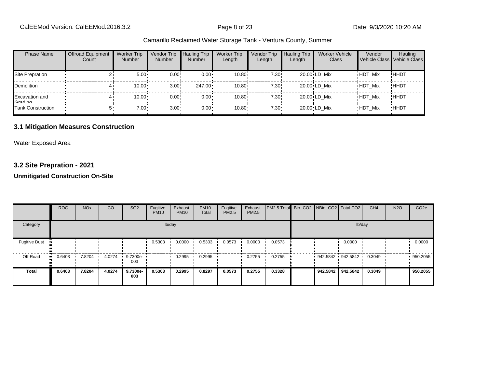| <b>Phase Name</b>                   | <b>Offroad Equipment</b><br>Count | <b>Worker Trip</b><br><b>Number</b> | Vendor Trip<br><b>Number</b> | <b>Hauling Trip</b><br><b>Number</b> | <b>Worker Trip</b><br>Length | Vendor Trip<br>Length | <b>Hauling Trip</b><br>Length | <b>Worker Vehicle</b><br>Class | Vendor<br>Vehicle Class Vehicle Class | Hauling     |
|-------------------------------------|-----------------------------------|-------------------------------------|------------------------------|--------------------------------------|------------------------------|-----------------------|-------------------------------|--------------------------------|---------------------------------------|-------------|
| Site Prepration                     |                                   | 5.00                                | 0.00!                        | $0.00 \cdot$                         | 10.80i                       | 7.30!                 |                               | 20.00 LD Mix                   | <b>HDT Mix</b>                        | !HHDT       |
| Demolition                          |                                   | 10.00                               | 3.00!                        | $247.00 \cdot$                       | 10.80i                       | 7.30!                 |                               | 20.00 LD Mix                   | <b>HDT Mix</b>                        | !ННDТ       |
| <b>Excavation and</b><br>$C$ rodina |                                   | 10.00                               | 0.00!                        | $0.00 \cdot$                         | 10.80i                       | 7.30!                 |                               | 20.00 LD Mix                   | <b>HDT Mix</b>                        | !ННDТ       |
| Tank Construction                   |                                   | 7.00 <sub>1</sub>                   | $3.00 -$                     | $0.00 \cdot$                         | $10.80 -$                    | $7.30 \cdot$          |                               | 20.00 LD Mix                   | <b>HDT Mix</b>                        | <b>HHDT</b> |

#### **3.1 Mitigation Measures Construction**

Water Exposed Area

#### **3.2 Site Prepration - 2021**

|                      | <b>ROG</b>            | <b>NO<sub>x</sub></b> | CO     | SO <sub>2</sub>   | Fugitive<br><b>PM10</b> | Exhaust<br><b>PM10</b> | <b>PM10</b><br>Total | Fugitive<br><b>PM2.5</b> | Exhaust<br><b>PM2.5</b> | <b>PM2.5 Total</b> Bio- CO2 NBio- CO2 Total CO2 |          |                   | CH <sub>4</sub> | <b>N2O</b> | CO <sub>2e</sub> |
|----------------------|-----------------------|-----------------------|--------|-------------------|-------------------------|------------------------|----------------------|--------------------------|-------------------------|-------------------------------------------------|----------|-------------------|-----------------|------------|------------------|
| Category             |                       |                       |        |                   |                         | lb/day                 |                      |                          |                         |                                                 |          | lb/day            |                 |            |                  |
| <b>Fugitive Dust</b> |                       |                       |        |                   | 0.5303                  | 0.0000                 | 0.5303               | 0.0573                   | 0.0000                  | 0.0573                                          |          | 0.0000            |                 |            | 0.0000           |
| Off-Road             | $\blacksquare$ 0.6403 | 7.8204                | 4.0274 | $9.7300e-$<br>003 |                         | 0.2995                 | 0.2995               |                          | 0.2755                  | 0.2755                                          |          | 942.5842 942.5842 | 0.3049          |            | 950.2055         |
| <b>Total</b>         | 0.6403                | 7.8204                | 4.0274 | 9.7300e-<br>003   | 0.5303                  | 0.2995                 | 0.8297               | 0.0573                   | 0.2755                  | 0.3328                                          | 942.5842 | 942.5842          | 0.3049          |            | 950.2055         |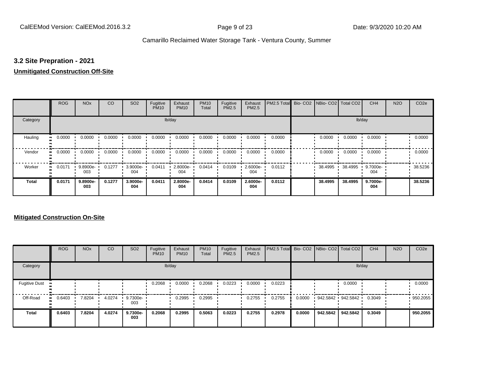#### **3.2 Site Prepration - 2021**

#### **Unmitigated Construction Off-Site**

|                           | <b>ROG</b> | <b>NO<sub>x</sub></b> | CO     | SO <sub>2</sub> | Fugitive<br><b>PM10</b> | Exhaust<br><b>PM10</b> | <b>PM10</b><br>Total | Fugitive<br>PM2.5 | Exhaust<br>PM2.5 | PM2.5 Total Bio- CO2 NBio- CO2 Total CO2 |         |         | CH <sub>4</sub> | <b>N2O</b> | CO <sub>2e</sub> |
|---------------------------|------------|-----------------------|--------|-----------------|-------------------------|------------------------|----------------------|-------------------|------------------|------------------------------------------|---------|---------|-----------------|------------|------------------|
| Category                  |            |                       |        |                 |                         | lb/day                 |                      |                   |                  |                                          |         | lb/day  |                 |            |                  |
| Hauling<br>$\blacksquare$ | 0.0000     | 0.0000                | 0.0000 | 0.0000          | 0.0000                  | 0.0000                 | 0.0000               | 0.0000            | 0.0000           | 0.0000                                   | 0.0000  | 0.0000  | 0.0000          |            | 0.0000           |
| Vendor<br>$\bullet$       | 0.0000     | 0.0000                | 0.0000 | 0.0000          | 0.0000                  | 0.0000                 | 0.0000               | 0.0000            | 0.0000           | 0.0000                                   | 0.0000  | 0.0000  | 0.0000          |            | 0.0000           |
| Worker<br>$\bullet$       | 0.0171     | 9.8900e-<br>003       | 0.1277 | 3.9000e-<br>004 | 0.0411                  | 2.8000e-<br>004        | 0.0414               | 0.0109            | 2.6000e-<br>004  | 0.0112                                   | 38.4995 | 38.4995 | 9.7000e-<br>004 |            | 38.5236          |
| <b>Total</b>              | 0.0171     | 9.8900e-<br>003       | 0.1277 | 3.9000e-<br>004 | 0.0411                  | 2.8000e-<br>004        | 0.0414               | 0.0109            | 2.6000e-<br>004  | 0.0112                                   | 38.4995 | 38.4995 | 9.7000e-<br>004 |            | 38.5236          |

|                      | <b>ROG</b> | <b>NO<sub>x</sub></b> | CO     | SO <sub>2</sub> | Fugitive<br><b>PM10</b> | Exhaust<br><b>PM10</b> | <b>PM10</b><br>Total | Fugitive<br><b>PM2.5</b> | Exhaust<br><b>PM2.5</b> | PM2.5 Total Bio- CO2 NBio- CO2 Total CO2 |        |                   |          | CH <sub>4</sub> | <b>N2O</b> | CO <sub>2e</sub> |
|----------------------|------------|-----------------------|--------|-----------------|-------------------------|------------------------|----------------------|--------------------------|-------------------------|------------------------------------------|--------|-------------------|----------|-----------------|------------|------------------|
| Category             |            |                       |        |                 |                         | lb/day                 |                      |                          |                         |                                          |        |                   | lb/day   |                 |            |                  |
| <b>Fugitive Dust</b> |            |                       |        |                 | 0.2068                  | 0.0000                 | 0.2068               | 0.0223                   | 0.0000                  | 0.0223                                   |        |                   | 0.0000   |                 |            | 0.0000           |
| Off-Road             | 0.6403     | 7.8204                | 4.0274 | 9.7300e-<br>003 |                         | 0.2995                 | 0.2995               |                          | 0.2755                  | 0.2755                                   | 0.0000 | 942.5842 942.5842 |          | 0.3049          |            | 950.2055         |
| <b>Total</b>         | 0.6403     | 7.8204                | 4.0274 | 9.7300e-<br>003 | 0.2068                  | 0.2995                 | 0.5063               | 0.0223                   | 0.2755                  | 0.2978                                   | 0.0000 | 942.5842          | 942.5842 | 0.3049          |            | 950.2055         |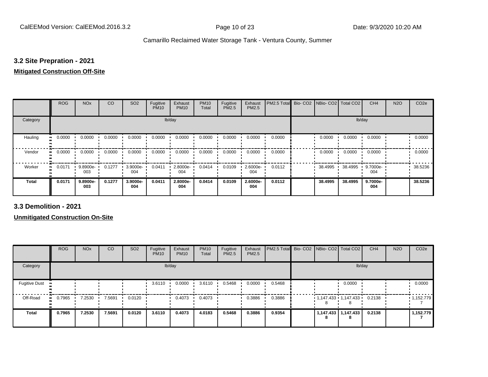#### **3.2 Site Prepration - 2021**

#### **Mitigated Construction Off-Site**

|                            | <b>ROG</b> | <b>NO<sub>x</sub></b> | CO     | SO <sub>2</sub> | Fugitive<br><b>PM10</b> | Exhaust<br><b>PM10</b> | <b>PM10</b><br>Total | Fugitive<br>PM2.5 | Exhaust<br>PM2.5 | PM2.5 Total | Bio- CO2   NBio- CO2   Total CO2 |         | CH <sub>4</sub> | <b>N2O</b> | CO <sub>2e</sub> |
|----------------------------|------------|-----------------------|--------|-----------------|-------------------------|------------------------|----------------------|-------------------|------------------|-------------|----------------------------------|---------|-----------------|------------|------------------|
| Category                   |            |                       |        |                 | lb/day                  |                        |                      |                   |                  |             |                                  | lb/day  |                 |            |                  |
| Hauling                    | 0.0000     | 0.0000                | 0.0000 | 0.0000          | 0.0000                  | 0.0000                 | 0.0000               | 0.0000            | 0.0000           | 0.0000      | 0.0000                           | 0.0000  | 0.0000          |            | 0.0000           |
| Vendor<br>$\bullet$        | 0.0000     | 0.0000                | 0.0000 | 0.0000          | 0.0000                  | 0.0000                 | 0.0000               | 0.0000            | 0.0000           | 0.0000      | 0.0000                           | 0.0000  | 0.0000          |            | 0.0000           |
| Worker<br>$\bullet\bullet$ | 0.0171     | 9.8900e-<br>003       | 0.1277 | 3.9000e-<br>004 | 0.0411                  | 2.8000e-<br>004        | 0.0414               | 0.0109            | 2.6000e-<br>004  | 0.0112      | 38.4995 ·                        | 38.4995 | 9.7000e-<br>004 |            | 38.5236          |
| <b>Total</b>               | 0.0171     | 9.8900e-<br>003       | 0.1277 | 3.9000e-<br>004 | 0.0411                  | 2.8000e-<br>004        | 0.0414               | 0.0109            | 2.6000e-<br>004  | 0.0112      | 38.4995                          | 38.4995 | 9.7000e-<br>004 |            | 38.5236          |

**3.3 Demolition - 2021**

|                      | <b>ROG</b> | <b>NO<sub>x</sub></b> | CO     | SO <sub>2</sub> | Fugitive<br><b>PM10</b> | Exhaust<br><b>PM10</b> | <b>PM10</b><br>Total | Fugitive<br><b>PM2.5</b> | Exhaust<br>PM2.5 | PM2.5 Total Bio- CO2 NBio- CO2 Total CO2 |   |                                | CH <sub>4</sub> | <b>N2O</b> | CO <sub>2e</sub> |
|----------------------|------------|-----------------------|--------|-----------------|-------------------------|------------------------|----------------------|--------------------------|------------------|------------------------------------------|---|--------------------------------|-----------------|------------|------------------|
| Category             |            |                       |        |                 |                         | lb/day                 |                      |                          |                  |                                          |   | lb/day                         |                 |            |                  |
| <b>Fugitive Dust</b> |            |                       |        |                 | 3.6110                  | 0.0000                 | 3.6110               | 0.5468                   | 0.0000           | 0.5468                                   |   | 0.0000                         |                 |            | 0.0000           |
| Off-Road             | 0.7965     | 7.2530                | 7.5691 | 0.0120          |                         | 0.4073                 | 0.4073               |                          | 0.3886           | 0.3886                                   |   | $1,147.433$ $1,147.433$ 0.2138 |                 |            | .1,152.779       |
| <b>Total</b>         | 0.7965     | 7.2530                | 7.5691 | 0.0120          | 3.6110                  | 0.4073                 | 4.0183               | 0.5468                   | 0.3886           | 0.9354                                   | 8 | 1,147.433 1,147.433            | 0.2138          |            | 1,152.779        |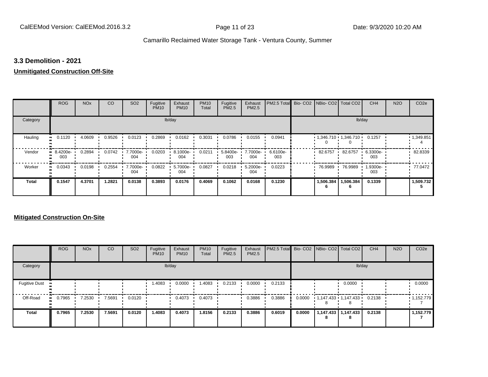#### **3.3 Demolition - 2021**

#### **Unmitigated Construction Off-Site**

|              | <b>ROG</b>          | <b>NO<sub>x</sub></b> | CO     | SO <sub>2</sub> | Fugitive<br><b>PM10</b> | Exhaust<br><b>PM10</b> | <b>PM10</b><br>Total | Fugitive<br>PM2.5 | Exhaust<br>PM2.5 | PM2.5 Total     | Bio- CO2   NBio- CO2   Total CO2 |           | CH <sub>4</sub> | <b>N2O</b> | CO <sub>2e</sub> |
|--------------|---------------------|-----------------------|--------|-----------------|-------------------------|------------------------|----------------------|-------------------|------------------|-----------------|----------------------------------|-----------|-----------------|------------|------------------|
| Category     |                     |                       |        |                 |                         | lb/day                 |                      |                   |                  |                 |                                  |           | lb/day          |            |                  |
| Hauling      | 0.1120<br>$\bullet$ | 4.0609                | 0.9526 | 0.0123          | 0.2869                  | 0.0162                 | 0.3031               | 0.0786            | 0.0155           | 0.0941          | $1,346.710$ $1,346.710$ $1$      |           | 0.1257          |            | 1,349.851        |
| Vendor       | $-8.4200e-$<br>003  | 0.2894                | 0.0742 | 7.7000e-<br>004 | 0.0203                  | 8.1000e-<br>004        | 0.0211               | 5.8400e-<br>003   | 7.7000e-<br>004  | 6.6100e-<br>003 | 82.6757                          | 82.6757   | 6.3300e-<br>003 |            | 82.8339          |
| Worker       | 0.0343<br>$\bullet$ | 0.0198                | 0.2554 | 7.7000e-<br>004 | 0.0822                  | 5.7000e-<br>004        | 0.0827               | 0.0218            | 5.2000e-<br>004  | 0.0223          | 76.9989                          | 76.9989   | 1.9300e-<br>003 |            | 77.0472          |
| <b>Total</b> | 0.1547              | 4.3701                | 1.2821 | 0.0138          | 0.3893                  | 0.0176                 | 0.4069               | 0.1062            | 0.0168           | 0.1230          | 1,506.384                        | 1,506.384 | 0.1339          |            | 1,509.732        |

|                      | <b>ROG</b> | <b>NO<sub>x</sub></b> | <b>CO</b> | SO <sub>2</sub> | Fugitive<br><b>PM10</b> | Exhaust<br><b>PM10</b> | <b>PM10</b><br>Total | Fugitive<br><b>PM2.5</b> | Exhaust<br><b>PM2.5</b> | <b>PM2.5 Total</b> Bio- CO2 NBio- CO2 Total CO2 |        |                                |                              | CH <sub>4</sub> | <b>N2O</b> | CO <sub>2e</sub> |
|----------------------|------------|-----------------------|-----------|-----------------|-------------------------|------------------------|----------------------|--------------------------|-------------------------|-------------------------------------------------|--------|--------------------------------|------------------------------|-----------------|------------|------------------|
| Category             |            |                       |           |                 |                         | lb/day                 |                      |                          |                         |                                                 |        |                                | lb/day                       |                 |            |                  |
| <b>Fugitive Dust</b> |            |                       |           |                 | 1.4083                  | 0.0000                 | 1.4083               | 0.2133                   | 0.0000                  | 0.2133                                          |        |                                | 0.0000                       |                 |            | 0.0000           |
| Off-Road             | 0.7965<br> | 7.2530                | 7.5691    | 0.0120          |                         | 0.4073                 | 0.4073               |                          | 0.3886                  | 0.3886                                          | 0.0000 | $1,147.433$ $1,147.433$ 0.2138 |                              |                 |            | 1,152.779        |
| <b>Total</b>         | 0.7965     | 7.2530                | 7.5691    | 0.0120          | 1.4083                  | 0.4073                 | 1.8156               | 0.2133                   | 0.3886                  | 0.6019                                          | 0.0000 | 8                              | 1,147.433   1,147.433  <br>8 | 0.2138          |            | 1,152.779        |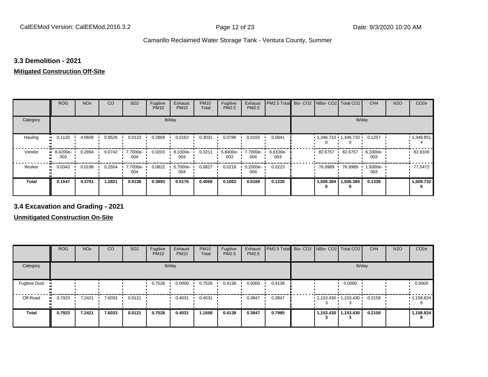#### **3.3 Demolition - 2021**

### **Mitigated Construction Off-Site**

|              | <b>ROG</b>          | <b>NO<sub>x</sub></b> | CO     | SO <sub>2</sub> | Fugitive<br><b>PM10</b> | Exhaust<br><b>PM10</b> | <b>PM10</b><br>Total | Fugitive<br>PM2.5 | Exhaust<br>PM2.5 | PM2.5 Total     | Bio-CO2 NBio-CO2 Total CO2  |           | CH <sub>4</sub> | <b>N2O</b> | CO <sub>2e</sub> |
|--------------|---------------------|-----------------------|--------|-----------------|-------------------------|------------------------|----------------------|-------------------|------------------|-----------------|-----------------------------|-----------|-----------------|------------|------------------|
| Category     |                     |                       |        |                 |                         | lb/day                 |                      |                   |                  |                 |                             |           | lb/day          |            |                  |
| Hauling      | 0.1120<br>$\bullet$ | 4.0609                | 0.9526 | 0.0123          | 0.2869                  | 0.0162                 | 0.3031               | 0.0786            | 0.0155           | 0.0941          | $1,346.710$ $1,346.710$ $1$ |           | 0.1257          |            | 1,349.851        |
| Vendor       | $-8.4200e-$<br>003  | 0.2894                | 0.0742 | 7.7000e-<br>004 | 0.0203                  | 8.1000e-<br>004        | 0.0211               | 5.8400e-<br>003   | 7.7000e-<br>004  | 6.6100e-<br>003 | 82.6757                     | 82.6757   | 6.3300e-<br>003 |            | 82.8339          |
| Worker       | 0.0343<br>$\bullet$ | 0.0198                | 0.2554 | 7.7000e-<br>004 | 0.0822                  | 5.7000e-<br>004        | 0.0827               | 0.0218            | 5.2000e-<br>004  | 0.0223          | 76.9989                     | 76.9989   | 1.9300e-<br>003 |            | 77.0472          |
| <b>Total</b> | 0.1547              | 4.3701                | 1.2821 | 0.0138          | 0.3893                  | 0.0176                 | 0.4069               | 0.1062            | 0.0168           | 0.1230          | 1,506.384                   | 1,506.384 | 0.1339          |            | 1,509.732        |

#### **3.4 Excavation and Grading - 2021**

|                                  | <b>ROG</b>   | <b>NO<sub>x</sub></b> | CO     | SO <sub>2</sub> | Fugitive<br><b>PM10</b> | Exhaust<br><b>PM10</b> | <b>PM10</b><br>Total | Fugitive<br><b>PM2.5</b> | Exhaust<br>PM2.5 | PM2.5 Total Bio- CO2 NBio- CO2   Total CO2 |                                  |                       | CH <sub>4</sub> | <b>N2O</b> | CO <sub>2e</sub> |
|----------------------------------|--------------|-----------------------|--------|-----------------|-------------------------|------------------------|----------------------|--------------------------|------------------|--------------------------------------------|----------------------------------|-----------------------|-----------------|------------|------------------|
| Category                         |              |                       |        |                 |                         | lb/day                 |                      |                          |                  |                                            |                                  | lb/day                |                 |            |                  |
| <b>Fugitive Dust</b><br><b>D</b> |              |                       |        |                 | 0.7528                  | 0.0000                 | 0.7528               | 0.4138                   | 0.0000           | 0.4138                                     |                                  | 0.0000                |                 |            | 0.0000           |
| Off-Road                         | 0.7923<br>ш. | 7.2421                | 7.6033 | 0.0121          |                         | 0.4031                 | 0.4031               |                          | 0.3847           | 0.3847                                     | $1,153.430$ $1,153.430$ $0.2158$ |                       |                 |            | 1,158.824        |
| <b>Total</b>                     | 0.7923       | 7.2421                | 7.6033 | 0.0121          | 0.7528                  | 0.4031                 | 1.1558               | 0.4138                   | 0.3847           | 0.7985                                     |                                  | 1,153.430   1,153.430 | 0.2158          |            | 1,158.824        |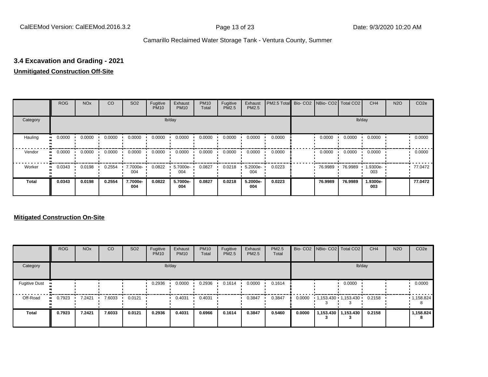#### **3.4 Excavation and Grading - 2021**

#### **Unmitigated Construction Off-Site**

|              | <b>ROG</b> | <b>NO<sub>x</sub></b> | CO     | SO <sub>2</sub> | Fugitive<br><b>PM10</b> | Exhaust<br><b>PM10</b> | <b>PM10</b><br>Total | Fugitive<br><b>PM2.5</b> | Exhaust<br>PM2.5 | PM2.5 Total Bio- CO2 NBio- CO2 Total CO2 |         |         | CH <sub>4</sub> | <b>N2O</b> | CO <sub>2e</sub> |
|--------------|------------|-----------------------|--------|-----------------|-------------------------|------------------------|----------------------|--------------------------|------------------|------------------------------------------|---------|---------|-----------------|------------|------------------|
| Category     |            |                       |        |                 |                         | lb/day                 |                      |                          |                  |                                          |         |         | lb/day          |            |                  |
| Hauling      | 0.0000     | 0.0000                | 0.0000 | 0.0000          | 0.0000                  | 0.0000                 | 0.0000               | 0.0000                   | 0.0000           | 0.0000                                   | 0.0000  | 0.0000  | 0.0000          |            | 0.0000           |
| Vendor       | 0.0000     | 0.0000                | 0.0000 | 0.0000          | 0.0000                  | 0.0000                 | 0.0000               | 0.0000                   | 0.0000           | 0.0000                                   | 0.0000  | 0.0000  | 0.0000          |            | 0.0000           |
| Worker       | 0.0343     | 0.0198                | 0.2554 | 7.7000e-<br>004 | 0.0822                  | 5.7000e-<br>004        | 0.0827               | 0.0218                   | 5.2000e-<br>004  | 0.0223                                   | 76.9989 | 76.9989 | 1.9300e-<br>003 |            | 77.0472          |
| <b>Total</b> | 0.0343     | 0.0198                | 0.2554 | 7.7000e-<br>004 | 0.0822                  | 5.7000e-<br>004        | 0.0827               | 0.0218                   | 5.2000e-<br>004  | 0.0223                                   | 76.9989 | 76.9989 | 1.9300e-<br>003 |            | 77.0472          |

|                      | <b>ROG</b> | <b>NO<sub>x</sub></b> | <b>CO</b> | SO <sub>2</sub> | Fugitive<br><b>PM10</b> | Exhaust<br><b>PM10</b> | <b>PM10</b><br>Total | Fugitive<br><b>PM2.5</b> | Exhaust<br><b>PM2.5</b> | PM2.5<br>Total |        | Bio- CO2   NBio- CO2   Total CO2 |                       | CH <sub>4</sub> | <b>N2O</b> | CO <sub>2e</sub>  |
|----------------------|------------|-----------------------|-----------|-----------------|-------------------------|------------------------|----------------------|--------------------------|-------------------------|----------------|--------|----------------------------------|-----------------------|-----------------|------------|-------------------|
| Category             |            |                       |           |                 |                         | lb/day                 |                      |                          |                         |                |        |                                  | lb/day                |                 |            |                   |
| <b>Fugitive Dust</b> |            |                       |           |                 | 0.2936                  | 0.0000                 | 0.2936               | 0.1614                   | 0.0000                  | 0.1614         |        |                                  | 0.0000                |                 |            | 0.0000            |
| Off-Road             | 0.7923<br> | 7.2421                | 7.6033    | 0.0121          |                         | 0.4031                 | 0.4031               |                          | 0.3847                  | 0.3847         | 0.0000 | $1,153.430$ $1,153.430$          |                       | 0.2158          |            | $\cdot$ 1,158.824 |
| <b>Total</b>         | 0.7923     | 7.2421                | 7.6033    | 0.0121          | 0.2936                  | 0.4031                 | 0.6966               | 0.1614                   | 0.3847                  | 0.5460         | 0.0000 |                                  | 1,153.430   1,153.430 | 0.2158          |            | 1,158.824<br>8    |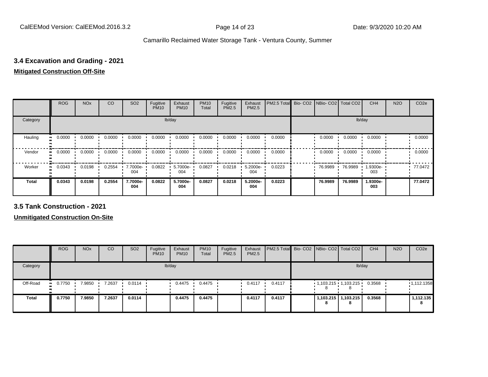#### **3.4 Excavation and Grading - 2021**

#### **Mitigated Construction Off-Site**

|                           | <b>ROG</b> | <b>NO<sub>x</sub></b> | CO     | SO <sub>2</sub> | Fugitive<br><b>PM10</b> | Exhaust<br><b>PM10</b> | <b>PM10</b><br>Total | Fugitive<br>PM2.5 | Exhaust<br>PM2.5 | PM2.5 Total Bio- CO2 NBio- CO2 Total CO2 |         |         | CH <sub>4</sub> | <b>N2O</b> | CO <sub>2e</sub> |
|---------------------------|------------|-----------------------|--------|-----------------|-------------------------|------------------------|----------------------|-------------------|------------------|------------------------------------------|---------|---------|-----------------|------------|------------------|
| Category                  |            |                       |        |                 |                         | lb/day                 |                      |                   |                  |                                          |         |         | lb/day          |            |                  |
| Hauling<br>$\blacksquare$ | 0.0000     | 0.0000                | 0.0000 | 0.0000          | 0.0000                  | 0.0000                 | 0.0000               | 0.0000            | 0.0000           | 0.0000                                   | 0.0000  | 0.0000  | 0.0000          |            | 0.0000           |
| Vendor<br>$\mathbf{u}$    | 0.0000     | 0.0000                | 0.0000 | 0.0000          | 0.0000                  | 0.0000                 | 0.0000               | 0.0000            | 0.0000           | 0.0000                                   | 0.0000  | 0.0000  | 0.0000          |            | 0.0000           |
| Worker<br>$\bullet$       | 0.0343     | 0.0198                | 0.2554 | 7.7000e-<br>004 | 0.0822                  | 5.7000e-<br>004        | 0.0827               | 0.0218            | 5.2000e-<br>004  | 0.0223                                   | 76.9989 | 76.9989 | 1.9300e-<br>003 |            | 77.0472          |
| <b>Total</b>              | 0.0343     | 0.0198                | 0.2554 | 7.7000e-<br>004 | 0.0822                  | 5.7000e-<br>004        | 0.0827               | 0.0218            | 5.2000e-<br>004  | 0.0223                                   | 76.9989 | 76.9989 | 1.9300e-<br>003 |            | 77.0472          |

**3.5 Tank Construction - 2021**

|              | <b>ROG</b>             | <b>NO<sub>x</sub></b> | CO     | SO <sub>2</sub>  | Fugitive<br><b>PM10</b> | Exhaust<br><b>PM10</b> | <b>PM10</b><br>Total | Fugitive<br><b>PM2.5</b> | Exhaust<br><b>PM2.5</b> | <b>PM2.5 Total</b> Bio- CO2 NBio- CO2   Total CO2 |   |                            | CH <sub>4</sub> | <b>N2O</b> | CO <sub>2e</sub> |
|--------------|------------------------|-----------------------|--------|------------------|-------------------------|------------------------|----------------------|--------------------------|-------------------------|---------------------------------------------------|---|----------------------------|-----------------|------------|------------------|
| Category     |                        |                       |        |                  |                         | lb/day                 |                      |                          |                         |                                                   |   |                            | lb/day          |            |                  |
| Off-Road     | 0.7750<br>$\mathbf{H}$ | 7.9850                | 7.2637 | $0.0114$ $\cdot$ |                         | 0.4475                 | 0.4475               |                          | 0.4117                  | 0.4117                                            | 8 | $1,103.215$ 1,103.215      | 0.3568          |            | 1,112.1358       |
| <b>Total</b> | 0.7750                 | 7.9850                | 7.2637 | 0.0114           |                         | 0.4475                 | 0.4475               |                          | 0.4117                  | 0.4117                                            | 8 | 1,103.215   1,103.215<br>8 | 0.3568          |            | 1,112.135<br>8   |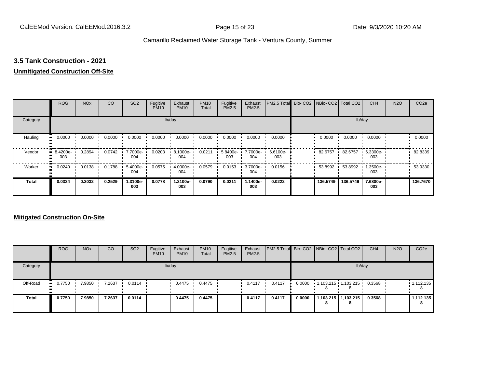#### **3.5 Tank Construction - 2021**

#### **Unmitigated Construction Off-Site**

|                         | <b>ROG</b>          | <b>NO<sub>x</sub></b> | CO     | SO <sub>2</sub> | Fugitive<br><b>PM10</b> | Exhaust<br><b>PM10</b> | <b>PM10</b><br>Total | Fugitive<br>PM2.5 | Exhaust<br>PM2.5 | PM2.5 Total     | Bio- CO2   NBio- CO2   Total CO2 |          | CH <sub>4</sub> | <b>N2O</b> | CO <sub>2e</sub> |
|-------------------------|---------------------|-----------------------|--------|-----------------|-------------------------|------------------------|----------------------|-------------------|------------------|-----------------|----------------------------------|----------|-----------------|------------|------------------|
| Category                |                     |                       |        |                 |                         | lb/day                 |                      |                   |                  |                 |                                  |          | lb/day          |            |                  |
| Hauling<br>$\mathbf{u}$ | 0.0000              | 0.0000                | 0.0000 | 0.0000          | 0.0000                  | 0.0000                 | 0.0000               | 0.0000            | 0.0000           | 0.0000          | 0.0000                           | 0.0000   | 0.0000          |            | 0.0000           |
| Vendor                  | $B.4200e-$<br>003   | 0.2894                | 0.0742 | 7.7000e-<br>004 | 0.0203                  | 8.1000e-<br>004        | 0.0211               | 5.8400e-<br>003   | 7.7000e-<br>004  | 6.6100e-<br>003 | 82.6757                          | 82.6757  | 6.3300e-<br>003 |            | 82.8339          |
| Worker                  | 0.0240<br>$\bullet$ | 0.0138                | 0.1788 | 5.4000e-<br>004 | 0.0575                  | 4.0000e-<br>004        | 0.0579               | 0.0153            | 3.7000e-<br>004  | 0.0156          | 53.8992                          | 53.8992  | 1.3500e-<br>003 |            | 53.9330          |
| <b>Total</b>            | 0.0324              | 0.3032                | 0.2529 | 1.3100e-<br>003 | 0.0778                  | 1.2100e-<br>003        | 0.0790               | 0.0211            | 1.1400e-<br>003  | 0.0222          | 136,5749                         | 136.5749 | 7.6800e-<br>003 |            | 136.7670         |

|              | <b>ROG</b> | <b>NO<sub>x</sub></b> | CO     | SO <sub>2</sub>  | Fugitive<br><b>PM10</b> | Exhaust<br><b>PM10</b> | <b>PM10</b><br>Total | Fugitive<br><b>PM2.5</b> | Exhaust<br><b>PM2.5</b> | <b>PM2.5 Total</b> Bio- CO2 NBio- CO2 Total CO2 |        |                         |                            | CH <sub>4</sub> | <b>N2O</b> | CO <sub>2e</sub> |
|--------------|------------|-----------------------|--------|------------------|-------------------------|------------------------|----------------------|--------------------------|-------------------------|-------------------------------------------------|--------|-------------------------|----------------------------|-----------------|------------|------------------|
| Category     |            |                       |        |                  |                         | lb/day                 |                      |                          |                         |                                                 |        |                         |                            | lb/day          |            |                  |
| Off-Road     | $-0.7750$  | 7.9850                | 7.2637 | $0.0114$ $\cdot$ |                         | 0.4475                 | 0.4475               |                          | 0.4117                  | 0.4117                                          | 0.0000 | $1,103.215$ $1,103.215$ |                            | 0.3568          |            | 1,112.135        |
| <b>Total</b> | 0.7750     | 7.9850                | 7.2637 | 0.0114           |                         | 0.4475                 | 0.4475               |                          | 0.4117                  | 0.4117                                          | 0.0000 | 8                       | 1,103.215   1,103.215<br>8 | 0.3568          |            | 1,112.135<br>8   |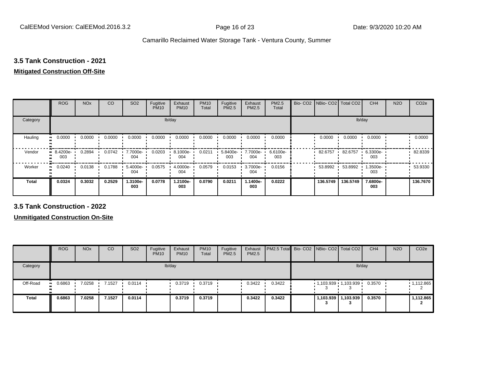## **3.5 Tank Construction - 2021**

#### **Mitigated Construction Off-Site**

|              | <b>ROG</b>                        | <b>NO<sub>x</sub></b> | CO     | SO <sub>2</sub> | Fugitive<br><b>PM10</b> | Exhaust<br><b>PM10</b> | <b>PM10</b><br>Total | Fugitive<br>PM2.5 | Exhaust<br>PM2.5 | PM2.5<br>Total  | Bio-CO <sub>2</sub> | NBio- CO2   Total CO2 |          | CH <sub>4</sub> | <b>N2O</b> | CO <sub>2e</sub> |
|--------------|-----------------------------------|-----------------------|--------|-----------------|-------------------------|------------------------|----------------------|-------------------|------------------|-----------------|---------------------|-----------------------|----------|-----------------|------------|------------------|
| Category     |                                   |                       |        |                 | lb/day                  |                        |                      |                   |                  |                 |                     |                       | lb/day   |                 |            |                  |
| Hauling      | 0.0000                            | 0.0000                | 0.0000 | 0.0000          | 0.0000                  | 0.0000                 | 0.0000               | 0.0000            | 0.0000           | 0.0000          |                     | 0.0000                | 0.0000   | 0.0000          |            | 0.0000           |
| Vendor       | 8.4200e-<br>$\blacksquare$<br>003 | 0.2894                | 0.0742 | 7.7000e-<br>004 | 0.0203                  | 8.1000e-<br>004        | 0.0211               | 5.8400e-<br>003   | 7.7000e-<br>004  | 6.6100e-<br>003 |                     | 82.6757               | 82.6757  | 6.3300e-<br>003 |            | 82.8339          |
| Worker       | 0.0240<br>$\bullet$               | 0.0138                | 0.1788 | 5.4000e-<br>004 | 0.0575                  | 4.0000e-<br>004        | 0.0579               | 0.0153            | 3.7000e-<br>004  | 0.0156          |                     | 53.8992               | 53.8992  | 1.3500e-<br>003 |            | 53.9330          |
| <b>Total</b> | 0.0324                            | 0.3032                | 0.2529 | 1.3100e-<br>003 | 0.0778                  | 1.2100e-<br>003        | 0.0790               | 0.0211            | 1.1400e-<br>003  | 0.0222          |                     | 136.5749              | 136.5749 | 7.6800e-<br>003 |            | 136.7670         |

**3.5 Tank Construction - 2022**

|              | <b>ROG</b>          | <b>NO<sub>x</sub></b> | CO     | SO <sub>2</sub>        | Fugitive<br><b>PM10</b> | Exhaust<br><b>PM10</b> | <b>PM10</b><br>Total | Fugitive<br><b>PM2.5</b> | Exhaust<br>PM2.5 | <b>PM2.5 Total</b> Bio- CO2 NBio- CO2   Total CO2 |     |                         | CH <sub>4</sub> | <b>N2O</b> | CO <sub>2e</sub> |
|--------------|---------------------|-----------------------|--------|------------------------|-------------------------|------------------------|----------------------|--------------------------|------------------|---------------------------------------------------|-----|-------------------------|-----------------|------------|------------------|
| Category     |                     |                       |        |                        |                         | lb/day                 |                      |                          |                  |                                                   |     |                         | lb/day          |            |                  |
| Off-Road     | 0.6863<br>$\bullet$ | 7.0258                | 7.1527 | $\cdot$ 0.0114 $\cdot$ |                         | 0.3719                 | 0.3719               |                          | 0.3422           | 0.3422                                            | - 3 | $1,103.939$ $1,103.939$ | 0.3570          |            | 1,112.865        |
| <b>Total</b> | 0.6863              | 7.0258                | 7.1527 | 0.0114                 |                         | 0.3719                 | 0.3719               |                          | 0.3422           | 0.3422                                            |     | 1,103.939   1,103.939   | 0.3570          |            | 1,112.865        |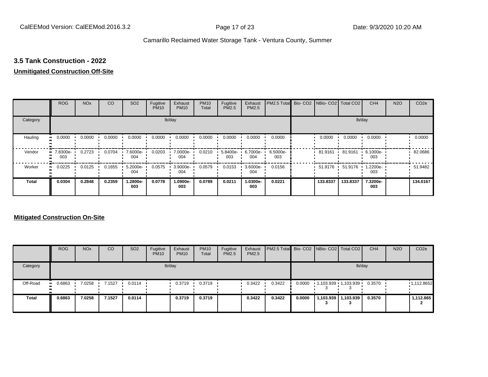#### **3.5 Tank Construction - 2022**

#### **Unmitigated Construction Off-Site**

|                         | <b>ROG</b>          | <b>NO<sub>x</sub></b> | CO     | SO <sub>2</sub> | Fugitive<br><b>PM10</b> | Exhaust<br><b>PM10</b> | <b>PM10</b><br>Total | Fugitive<br>PM2.5 | Exhaust<br>PM2.5  | PM2.5 Total     | Bio- CO2   NBio- CO2   Total CO2 |          | CH <sub>4</sub> | <b>N2O</b> | CO <sub>2e</sub> |
|-------------------------|---------------------|-----------------------|--------|-----------------|-------------------------|------------------------|----------------------|-------------------|-------------------|-----------------|----------------------------------|----------|-----------------|------------|------------------|
| Category                |                     |                       |        |                 |                         | lb/day                 |                      |                   |                   |                 |                                  |          | lb/day          |            |                  |
| Hauling<br>$\mathbf{u}$ | 0.0000              | 0.0000                | 0.0000 | 0.0000          | 0.0000                  | 0.0000                 | 0.0000               | 0.0000            | 0.0000            | 0.0000          | 0.0000                           | 0.0000   | 0.0000          |            | 0.0000           |
| Vendor                  | 7.8300e-<br>003     | 0.2723                | 0.0704 | 7.6000e-<br>004 | 0.0203                  | 7.0000e-<br>004        | 0.0210               | 5.8400e-<br>003   | $6.7000e-$<br>004 | 6.5000e-<br>003 | $81.9161$ $\cdot$                | 81.9161  | 6.1000e-<br>003 |            | 82.0686          |
| Worker                  | 0.0225<br>$\bullet$ | 0.0125                | 0.1655 | 5.2000e-<br>004 | 0.0575                  | 3.9000e-<br>004        | 0.0579               | 0.0153            | 3.6000e-<br>004   | 0.0156          | 51.9176                          | 51.9176  | 1.2200e-<br>003 |            | 51.9482          |
| <b>Total</b>            | 0.0304              | 0.2848                | 0.2359 | 1.2800e-<br>003 | 0.0778                  | 1.0900e-<br>003        | 0.0789               | 0.0211            | 1.0300e-<br>003   | 0.0221          | 133.8337                         | 133.8337 | 7.3200e-<br>003 |            | 134.0167         |

|              | <b>ROG</b>          | <b>NO<sub>x</sub></b> | CO     | SO <sub>2</sub>  | Fugitive<br><b>PM10</b> | Exhaust<br><b>PM10</b> | <b>PM10</b><br>Total | Fugitive<br>PM2.5 | Exhaust<br><b>PM2.5</b> | <b>PM2.5 Total</b> Bio- CO2 NBio- CO2 Total CO2 |        |                         | CH <sub>4</sub> | <b>N2O</b> | CO <sub>2e</sub> |
|--------------|---------------------|-----------------------|--------|------------------|-------------------------|------------------------|----------------------|-------------------|-------------------------|-------------------------------------------------|--------|-------------------------|-----------------|------------|------------------|
| Category     |                     |                       |        |                  |                         | lb/day                 |                      |                   |                         |                                                 |        |                         | lb/day          |            |                  |
| Off-Road     | 0.6863<br>$\bullet$ | 7.0258                | 7.1527 | $0.0114$ $\cdot$ |                         | 0.3719                 | 0.3719               |                   | 0.3422                  | 0.3422                                          | 0.0000 | $1,103.939$ $1,103.939$ | 0.3570          |            | 1,112.8652       |
| <b>Total</b> | 0.6863              | 7.0258                | 7.1527 | 0.0114           |                         | 0.3719                 | 0.3719               |                   | 0.3422                  | 0.3422                                          | 0.0000 | 1,103.939 1,103.939     | 0.3570          |            | 1,112.865        |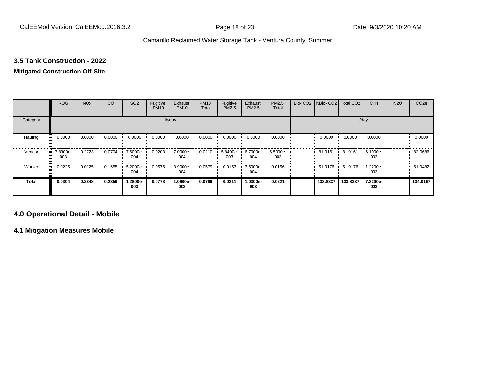# **3.5 Tank Construction - 2022**

#### **Mitigated Construction Off-Site**

|                           | <b>ROG</b>                   | <b>NO<sub>x</sub></b> | CO     | SO <sub>2</sub> | Fugitive<br><b>PM10</b> | Exhaust<br><b>PM10</b> | <b>PM10</b><br>Total | Fugitive<br><b>PM2.5</b> | Exhaust<br>PM2.5 | PM2.5<br>Total  | Bio- CO2   NBio- CO2   Total CO2 |          | CH <sub>4</sub> | <b>N2O</b> | CO <sub>2e</sub> |
|---------------------------|------------------------------|-----------------------|--------|-----------------|-------------------------|------------------------|----------------------|--------------------------|------------------|-----------------|----------------------------------|----------|-----------------|------------|------------------|
| Category                  |                              |                       |        |                 |                         | lb/day                 |                      |                          |                  |                 |                                  |          | lb/day          |            |                  |
| Hauling<br>$\blacksquare$ | 0.0000                       | 0.0000                | 0.0000 | 0.0000          | 0.0000                  | 0.0000                 | 0.0000               | 0.0000                   | 0.0000           | 0.0000          | 0.0000                           | 0.0000   | 0.0000          |            | 0.0000           |
| Vendor                    | 7.8300e-<br>$\bullet$<br>003 | 0.2723                | 0.0704 | 7.6000e-<br>004 | 0.0203                  | 7.0000e-<br>004        | 0.0210               | 5.8400e-<br>003          | 6.7000e-<br>004  | 6.5000e-<br>003 | 81.9161                          | 81.9161  | 6.1000e-<br>003 |            | 82.0686          |
| Worker                    | 0.0225<br>$\bullet$          | 0.0125                | 0.1655 | 5.2000e-<br>004 | 0.0575                  | 3.9000e-<br>004        | 0.0579               | 0.0153                   | 3.6000e-<br>004  | 0.0156          | $51.9176$ $\cdot$                | 51.9176  | 1.2200e-<br>003 |            | 51.9482          |
| <b>Total</b>              | 0.0304                       | 0.2848                | 0.2359 | 1.2800e-<br>003 | 0.0778                  | 1.0900e-<br>003        | 0.0789               | 0.0211                   | -.0300e<br>003   | 0.0221          | 133,8337                         | 133.8337 | 7.3200e-<br>003 |            | 134.0167         |

#### **4.0 Operational Detail - Mobile**

**4.1 Mitigation Measures Mobile**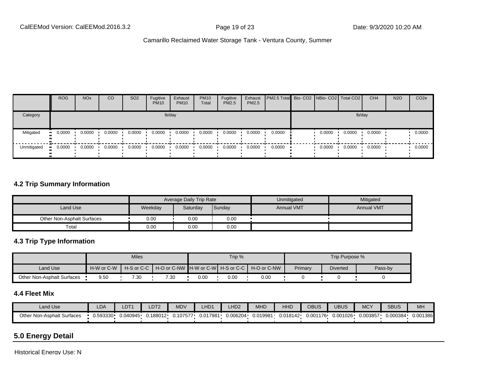|             | <b>ROG</b>  | <b>NO<sub>x</sub></b> | CO     | SO <sub>2</sub> | Fugitive<br><b>PM10</b> | Exhaust<br><b>PM10</b> | <b>PM10</b><br>Total | Fugitive<br><b>PM2.5</b> | Exhaust<br><b>PM2.5</b> | <b>PM2.5 Total Bio-CO2 NBio-CO2 Total CO2</b> |        |        | CH <sub>4</sub> | <b>N2O</b> | CO <sub>2e</sub> |
|-------------|-------------|-----------------------|--------|-----------------|-------------------------|------------------------|----------------------|--------------------------|-------------------------|-----------------------------------------------|--------|--------|-----------------|------------|------------------|
| Category    |             |                       |        |                 |                         | lb/day                 |                      |                          |                         |                                               |        | lb/day |                 |            |                  |
| Mitigated   | 0.0000<br>ш | 0.0000                | 0.0000 | 0.0000          | 0.0000                  | 0.0000                 | 0.0000               | 0.0000                   | 0.0000                  | 0.0000                                        | 0.0000 | 0.0000 | 0.0000          |            | 0.0000           |
| Unmitigated | 0.0000      | 0.0000                | 0.0000 | 0.0000          | 0.0000                  | 0.0000                 | 0.0000               | 0.0000                   | 0.0000                  | 0.0000                                        | 0.0000 | 0.0000 | 0.0000          |            | 0.0000           |

#### **4.2 Trip Summary Information**

|                            |         | Average Daily Trip Rate |        | Unmitigated       | Mitigated         |
|----------------------------|---------|-------------------------|--------|-------------------|-------------------|
| Land Use                   | Weekday | Saturday                | Sunday | <b>Annual VMT</b> | <b>Annual VMT</b> |
| Other Non-Asphalt Surfaces | 0.00    | 0.00                    | 0.00   |                   |                   |
| Total                      | 0.00    | $0.00\,$                | 0.00   |                   |                   |

#### **4.3 Trip Type Information**

|                            |            | <b>Miles</b> |      |      | Trip % |                                                                |         | Trip Purpose %  |         |
|----------------------------|------------|--------------|------|------|--------|----------------------------------------------------------------|---------|-----------------|---------|
| Land Use                   | H-W or C-W |              |      |      |        | H-S or C-C │ H-O or C-NW ┃H-W or C-W┃ H-S or C-C ┃ H-O or C-NW | Primary | <b>Diverted</b> | Pass-by |
| Other Non-Asphalt Surfaces | 9.50       | 7.30         | 7.30 | 0.00 | 0.00   | 0.00                                                           |         |                 |         |

#### **4.4 Fleet Mix**

| <b>Land Use</b>            | LDA          | LDT <sup>4</sup> | LDT2    | <b>MDV</b> | LHD <sub>1</sub> | H <sub>D2</sub> | MHD      | HHI      | OBUS     | UBUS     | <b>MCY</b> | <b>SBUS</b> | MH       |
|----------------------------|--------------|------------------|---------|------------|------------------|-----------------|----------|----------|----------|----------|------------|-------------|----------|
| Other Non-Asphalt Surfaces | $J.593330 -$ | 0.040945         | .188012 | 0.107577   | 0.017981         | 0.006204        | J.019981 | 0.018142 | 0.001176 | 0.001026 | 0.003857   | 0.000384    | 0.001386 |

### **5.0 Energy Detail**

Historical Energy Use: N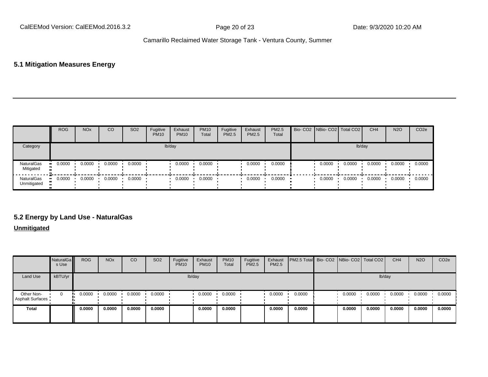#### **5.1 Mitigation Measures Energy**

|                                  | <b>ROG</b> | <b>NO<sub>x</sub></b> | CO     | SO <sub>2</sub> | Fugitive<br><b>PM10</b> | Exhaust<br><b>PM10</b> | <b>PM10</b><br>Total | Fugitive<br><b>PM2.5</b> | Exhaust<br><b>PM2.5</b> | <b>PM2.5</b><br>Total |        | Bio- CO2 NBio- CO2 Total CO2 | CH <sub>4</sub> | <b>N2O</b> | CO <sub>2e</sub> |
|----------------------------------|------------|-----------------------|--------|-----------------|-------------------------|------------------------|----------------------|--------------------------|-------------------------|-----------------------|--------|------------------------------|-----------------|------------|------------------|
| Category                         |            |                       |        |                 |                         | lb/day                 |                      |                          |                         |                       |        |                              | lb/day          |            |                  |
| NaturalGas<br>Mitigated          | 0.0000     | 0.0000                | 0.0000 | 0.0000          |                         | 0.0000                 | 0.0000               |                          | 0.0000                  | 0.0000                | 0.0000 | 0.0000                       | 0.0000          | 0.0000     | 0.0000           |
| <b>NaturalGas</b><br>Unmitigated | 0.0000     | 0.0000                | 0.0000 | 0.0000          |                         | 0.0000                 | 0.0000               |                          | 0.0000                  | 0.0000                | 0.0000 | 0.0000                       | 0.0000          | 0.0000     | 0.0000           |

#### **5.2 Energy by Land Use - NaturalGas**

#### **Unmitigated**

|                                       | NaturalGa<br>s Use | <b>ROG</b> | <b>NO<sub>x</sub></b> | CO     | SO <sub>2</sub> | Fugitive<br><b>PM10</b> | Exhaust<br><b>PM10</b> | <b>PM10</b><br>Total | Fugitive<br>PM2.5 | Exhaust<br>PM2.5 | <b>PM2.5 Total</b> Bio- CO2 NBio- CO2 Total CO2 |        |        | CH <sub>4</sub> | <b>N2O</b> | CO <sub>2e</sub> |
|---------------------------------------|--------------------|------------|-----------------------|--------|-----------------|-------------------------|------------------------|----------------------|-------------------|------------------|-------------------------------------------------|--------|--------|-----------------|------------|------------------|
| Land Use                              | kBTU/yr            |            |                       |        |                 |                         | lb/day                 |                      |                   |                  |                                                 |        | lb/day |                 |            |                  |
| Other Non-<br><b>Asphalt Surfaces</b> | 0                  | 0.0000     | 0.0000                | 0.0000 | 0.0000          |                         | 0.0000                 | 0.0000               |                   | 0.0000           | 0.0000                                          | 0.0000 | 0.0000 | 0.0000          | 0.0000     | 0.0000           |
| Total                                 |                    | 0.0000     | 0.0000                | 0.0000 | 0.0000          |                         | 0.0000                 | 0.0000               |                   | 0.0000           | 0.0000                                          | 0.0000 | 0.0000 | 0.0000          | 0.0000     | 0.0000           |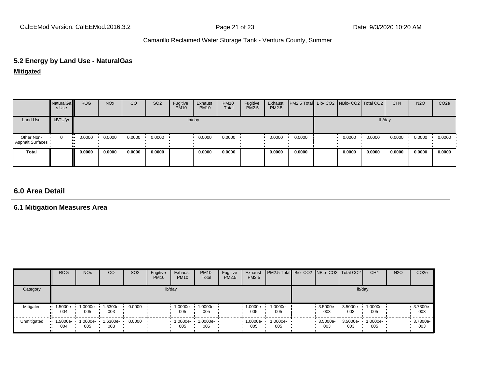# **5.2 Energy by Land Use - NaturalGas**

**Mitigated**

|                                | NaturalGa<br>s Use | <b>ROG</b> | <b>NO<sub>x</sub></b> | CO     | SO <sub>2</sub> | Fugitive<br><b>PM10</b> | Exhaust<br><b>PM10</b> | <b>PM10</b><br>Total | Fugitive<br>PM2.5 | Exhaust<br>PM2.5 | PM2.5 Total Bio- CO2 NBio- CO2 Total CO2 |        |        | CH <sub>4</sub> | <b>N2O</b> | CO <sub>2</sub> e |
|--------------------------------|--------------------|------------|-----------------------|--------|-----------------|-------------------------|------------------------|----------------------|-------------------|------------------|------------------------------------------|--------|--------|-----------------|------------|-------------------|
| Land Use                       | kBTU/yr            |            |                       |        |                 |                         | lb/day                 |                      |                   |                  |                                          |        | lb/day |                 |            |                   |
| Other Non-<br>Asphalt Surfaces | U<br>              | 0.0000     | 0.0000                | 0.0000 | 0.0000          |                         | 0.0000                 | 0.0000               |                   | 0.0000           | 0.0000                                   | 0.0000 | 0.0000 | 0.0000          | 0.0000     | 0.0000            |
| Total                          |                    | 0.0000     | 0.0000                | 0.0000 | 0.0000          |                         | 0.0000                 | 0.0000               |                   | 0.0000           | 0.0000                                   | 0.0000 | 0.0000 | 0.0000          | 0.0000     | 0.0000            |

#### **6.0 Area Detail**

#### **6.1 Mitigation Measures Area**

|             | <b>ROG</b>        | NO <sub>x</sub> | CO              | SO <sub>2</sub> | Fugitive<br><b>PM10</b> | Exhaust<br><b>PM10</b> | <b>PM10</b><br>Total | Fugitive<br><b>PM2.5</b> | Exhaust<br><b>PM2.5</b> | <b>PM2.5 Total</b> Bio- CO2 NBio- CO2 Total CO2 |                   |                 | CH <sub>4</sub> | <b>N2O</b> | CO <sub>2e</sub> |
|-------------|-------------------|-----------------|-----------------|-----------------|-------------------------|------------------------|----------------------|--------------------------|-------------------------|-------------------------------------------------|-------------------|-----------------|-----------------|------------|------------------|
| Category    |                   |                 |                 |                 |                         | lb/day                 |                      |                          |                         |                                                 |                   |                 | lb/day          |            |                  |
| Mitigated   | 1.5000e-<br>004   | 1.0000e-<br>005 | 1.6300e-<br>003 | 0.0000          |                         | 1.0000e-<br>005        | 1.0000e-<br>005      |                          | 1.0000e-<br>005         | 1.0000e-<br>005                                 | 3.5000e-<br>003   | 3.5000e-<br>003 | 1.0000e-<br>005 |            | 3.7300e-<br>003  |
| Unmitigated | 1.5000e- •<br>004 | 1.0000e-<br>005 | 1.6300e-<br>003 | 0.0000          |                         | 1.0000e-<br>005        | 1.0000e-<br>005      |                          | $1.0000e -$<br>005      | $1.0000e-$<br>005                               | 3.5000e- •<br>003 | 3.5000e-<br>003 | 1.0000e-<br>005 |            | 3.7300e-<br>003  |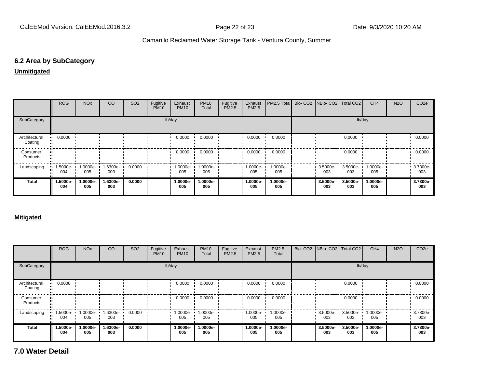#### **6.2 Area by SubCategory**

#### **Unmitigated**

|                          | <b>ROG</b>      | <b>NO<sub>x</sub></b> | CO              | SO <sub>2</sub> | Fugitive<br><b>PM10</b> | Exhaust<br><b>PM10</b> | <b>PM10</b><br>Total | Fugitive<br>PM2.5 | Exhaust<br><b>PM2.5</b> | PM2.5 Total Bio- CO2 NBio- CO2 Total CO2 |                 |                 | CH <sub>4</sub> | <b>N2O</b> | CO <sub>2e</sub> |
|--------------------------|-----------------|-----------------------|-----------------|-----------------|-------------------------|------------------------|----------------------|-------------------|-------------------------|------------------------------------------|-----------------|-----------------|-----------------|------------|------------------|
| SubCategory              |                 |                       |                 |                 |                         | lb/day                 |                      |                   |                         |                                          |                 |                 | lb/day          |            |                  |
| Architectural<br>Coating | 0.0000          |                       |                 |                 |                         | 0.0000                 | 0.0000               |                   | 0.0000                  | 0.0000                                   |                 | 0.0000          |                 |            | 0.0000           |
| Consumer<br>Products     |                 |                       |                 |                 |                         | 0.0000                 | 0.0000               |                   | 0.0000                  | 0.0000                                   |                 | 0.0000          |                 |            | 0.0000           |
| Landscaping              | 1.5000e-<br>004 | 1.0000e-<br>005       | 1.6300e-<br>003 | 0.0000          |                         | 1.0000e-<br>005        | 1.0000e-<br>005      |                   | 1.0000e-<br>005         | 1.0000e-<br>005                          | 3.5000e-<br>003 | 3.5000e-<br>003 | 1.0000e-<br>005 |            | 3.7300e-<br>003  |
| <b>Total</b>             | 1.5000e-<br>004 | 1.0000e-<br>005       | 1.6300e-<br>003 | 0.0000          |                         | 1.0000e-<br>005        | 1.0000e-<br>005      |                   | 1.0000e-<br>005         | 1.0000e-<br>005                          | 3.5000e-<br>003 | 3.5000e-<br>003 | 1.0000e-<br>005 |            | 3.7300e-<br>003  |

#### **Mitigated**

|                          | ROG                | <b>NO<sub>x</sub></b> | CO              | SO <sub>2</sub> | Fugitive<br><b>PM10</b> | Exhaust<br><b>PM10</b> | <b>PM10</b><br>Total | Fugitive<br>PM2.5 | Exhaust<br><b>PM2.5</b> | PM2.5<br>Total  | Bio- CO2   NBio- CO2   Total CO2 |                    | CH <sub>4</sub> | <b>N2O</b> | CO <sub>2</sub> e |
|--------------------------|--------------------|-----------------------|-----------------|-----------------|-------------------------|------------------------|----------------------|-------------------|-------------------------|-----------------|----------------------------------|--------------------|-----------------|------------|-------------------|
| SubCategory              |                    |                       |                 |                 |                         | lb/day                 |                      |                   |                         |                 |                                  |                    | lb/day          |            |                   |
| Architectural<br>Coating | 0.0000             |                       |                 |                 |                         | 0.0000                 | 0.0000               |                   | 0.0000                  | 0.0000          |                                  | 0.0000             |                 |            | 0.0000            |
| Consumer<br>Products     |                    |                       |                 |                 |                         | 0.0000                 | 0.0000               |                   | 0.0000                  | 0.0000          |                                  | 0.0000             |                 |            | 0.0000            |
| Landscaping              | $1.5000e -$<br>004 | 1.0000e-<br>005       | 1.6300e-<br>003 | 0.0000          |                         | $1.0000e -$<br>005     | 1.0000e-<br>005      |                   | 1.0000e-<br>005         | 1.0000e-<br>005 | $3.5000e -$<br>003               | $3.5000e -$<br>003 | 1.0000e-<br>005 |            | 3.7300e-<br>003   |
| <b>Total</b>             | 1.5000e-<br>004    | 1.0000e-<br>005       | 1.6300e-<br>003 | 0.0000          |                         | 1.0000e-<br>005        | 1.0000e-<br>005      |                   | 1.0000e-<br>005         | 1.0000e-<br>005 | 3.5000e-<br>003                  | 3.5000e-<br>003    | 1.0000e-<br>005 |            | 3.7300e-<br>003   |

**7.0 Water Detail**